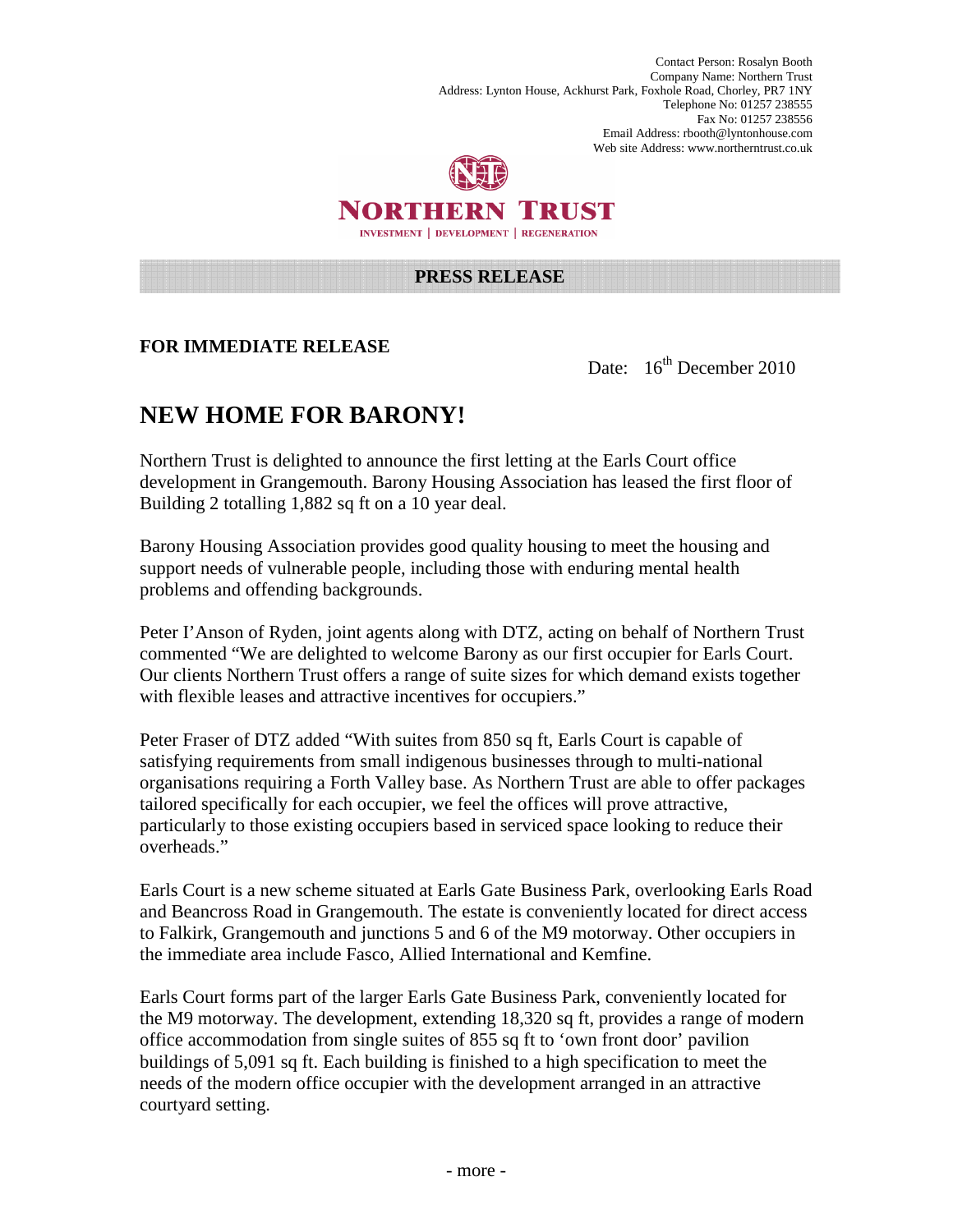Contact Person: Rosalyn Booth Company Name: Northern Trust Address: Lynton House, Ackhurst Park, Foxhole Road, Chorley, PR7 1NY Telephone No: 01257 238555 Fax No: 01257 238556 Email Address: rbooth@lyntonhouse.com Web site Address: www.northerntrust.co.uk



NORTHERN TRUST **INVESTMENT | DEVELOPMENT | REGENERATION** 

## **PRESS RELEASE**

## **FOR IMMEDIATE RELEASE**

Date: 16<sup>th</sup> December 2010

## **NEW HOME FOR BARONY!**

Northern Trust is delighted to announce the first letting at the Earls Court office development in Grangemouth. Barony Housing Association has leased the first floor of Building 2 totalling 1,882 sq ft on a 10 year deal.

Barony Housing Association provides good quality housing to meet the housing and support needs of vulnerable people, including those with enduring mental health problems and offending backgrounds.

Peter I'Anson of Ryden, joint agents along with DTZ, acting on behalf of Northern Trust commented "We are delighted to welcome Barony as our first occupier for Earls Court. Our clients Northern Trust offers a range of suite sizes for which demand exists together with flexible leases and attractive incentives for occupiers."

Peter Fraser of DTZ added "With suites from 850 sq ft, Earls Court is capable of satisfying requirements from small indigenous businesses through to multi-national organisations requiring a Forth Valley base. As Northern Trust are able to offer packages tailored specifically for each occupier, we feel the offices will prove attractive, particularly to those existing occupiers based in serviced space looking to reduce their overheads."

Earls Court is a new scheme situated at Earls Gate Business Park, overlooking Earls Road and Beancross Road in Grangemouth. The estate is conveniently located for direct access to Falkirk, Grangemouth and junctions 5 and 6 of the M9 motorway. Other occupiers in the immediate area include Fasco, Allied International and Kemfine.

Earls Court forms part of the larger Earls Gate Business Park, conveniently located for the M9 motorway. The development, extending 18,320 sq ft, provides a range of modern office accommodation from single suites of 855 sq ft to 'own front door' pavilion buildings of 5,091 sq ft. Each building is finished to a high specification to meet the needs of the modern office occupier with the development arranged in an attractive courtyard setting.